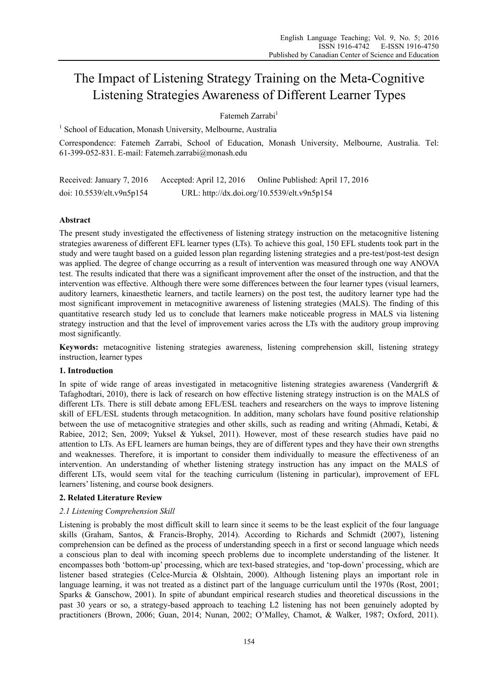# The Impact of Listening Strategy Training on the Meta-Cognitive Listening Strategies Awareness of Different Learner Types

# Fatemeh Zarrabi<sup>1</sup>

<sup>1</sup> School of Education, Monash University, Melbourne, Australia

Correspondence: Fatemeh Zarrabi, School of Education, Monash University, Melbourne, Australia. Tel: 61-399-052-831. E-mail: Fatemeh.zarrabi@monash.edu

Received: January 7, 2016 Accepted: April 12, 2016 Online Published: April 17, 2016 doi: 10.5539/elt.v9n5p154 URL: http://dx.doi.org/10.5539/elt.v9n5p154

# **Abstract**

The present study investigated the effectiveness of listening strategy instruction on the metacognitive listening strategies awareness of different EFL learner types (LTs). To achieve this goal, 150 EFL students took part in the study and were taught based on a guided lesson plan regarding listening strategies and a pre-test/post-test design was applied. The degree of change occurring as a result of intervention was measured through one way ANOVA test. The results indicated that there was a significant improvement after the onset of the instruction, and that the intervention was effective. Although there were some differences between the four learner types (visual learners, auditory learners, kinaesthetic learners, and tactile learners) on the post test, the auditory learner type had the most significant improvement in metacognitive awareness of listening strategies (MALS). The finding of this quantitative research study led us to conclude that learners make noticeable progress in MALS via listening strategy instruction and that the level of improvement varies across the LTs with the auditory group improving most significantly.

**Keywords:** metacognitive listening strategies awareness, listening comprehension skill, listening strategy instruction, learner types

# **1. Introduction**

In spite of wide range of areas investigated in metacognitive listening strategies awareness (Vandergrift & Tafaghodtari, 2010), there is lack of research on how effective listening strategy instruction is on the MALS of different LTs. There is still debate among EFL/ESL teachers and researchers on the ways to improve listening skill of EFL/ESL students through metacognition. In addition, many scholars have found positive relationship between the use of metacognitive strategies and other skills, such as reading and writing (Ahmadi, Ketabi, & Rabiee, 2012; Sen, 2009; Yuksel & Yuksel, 2011). However, most of these research studies have paid no attention to LTs. As EFL learners are human beings, they are of different types and they have their own strengths and weaknesses. Therefore, it is important to consider them individually to measure the effectiveness of an intervention. An understanding of whether listening strategy instruction has any impact on the MALS of different LTs, would seem vital for the teaching curriculum (listening in particular), improvement of EFL learners' listening, and course book designers.

# **2. Related Literature Review**

# *2.1 Listening Comprehension Skill*

Listening is probably the most difficult skill to learn since it seems to be the least explicit of the four language skills (Graham, Santos, & Francis-Brophy, 2014). According to Richards and Schmidt (2007), listening comprehension can be defined as the process of understanding speech in a first or second language which needs a conscious plan to deal with incoming speech problems due to incomplete understanding of the listener. It encompasses both 'bottom-up' processing, which are text-based strategies, and 'top-down' processing, which are listener based strategies (Celce-Murcia & Olshtain, 2000). Although listening plays an important role in language learning, it was not treated as a distinct part of the language curriculum until the 1970s (Rost, 2001; Sparks & Ganschow, 2001). In spite of abundant empirical research studies and theoretical discussions in the past 30 years or so, a strategy-based approach to teaching L2 listening has not been genuinely adopted by practitioners (Brown, 2006; Guan, 2014; Nunan, 2002; O'Malley, Chamot, & Walker, 1987; Oxford, 2011).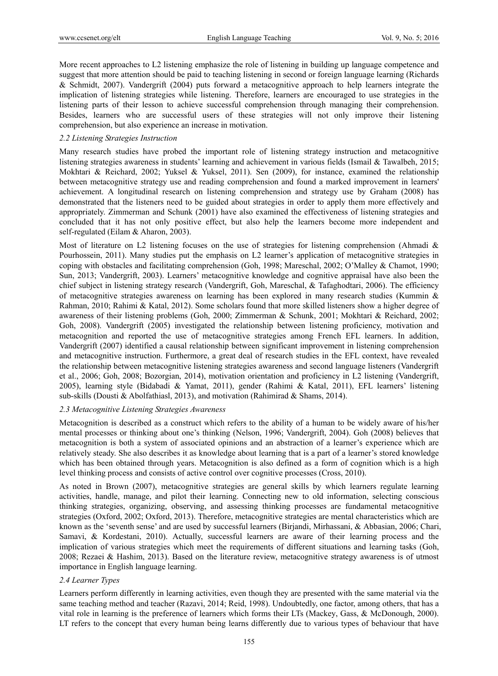More recent approaches to L2 listening emphasize the role of listening in building up language competence and suggest that more attention should be paid to teaching listening in second or foreign language learning (Richards & Schmidt, 2007). Vandergrift (2004) puts forward a metacognitive approach to help learners integrate the implication of listening strategies while listening. Therefore, learners are encouraged to use strategies in the listening parts of their lesson to achieve successful comprehension through managing their comprehension. Besides, learners who are successful users of these strategies will not only improve their listening comprehension, but also experience an increase in motivation.

#### *2.2 Listening Strategies Instruction*

Many research studies have probed the important role of listening strategy instruction and metacognitive listening strategies awareness in students' learning and achievement in various fields (Ismail & Tawalbeh, 2015; Mokhtari & Reichard, 2002; Yuksel & Yuksel, 2011). Sen (2009), for instance, examined the relationship between metacognitive strategy use and reading comprehension and found a marked improvement in learners' achievement. A longitudinal research on listening comprehension and strategy use by Graham (2008) has demonstrated that the listeners need to be guided about strategies in order to apply them more effectively and appropriately. Zimmerman and Schunk (2001) have also examined the effectiveness of listening strategies and concluded that it has not only positive effect, but also help the learners become more independent and self-regulated (Eilam & Aharon, 2003).

Most of literature on L2 listening focuses on the use of strategies for listening comprehension (Ahmadi & Pourhossein, 2011). Many studies put the emphasis on L2 learner's application of metacognitive strategies in coping with obstacles and facilitating comprehension (Goh, 1998; Mareschal, 2002; O'Malley & Chamot, 1990; Sun, 2013; Vandergrift, 2003). Learners' metacognitive knowledge and cognitive appraisal have also been the chief subject in listening strategy research (Vandergrift, Goh, Mareschal, & Tafaghodtari, 2006). The efficiency of metacognitive strategies awareness on learning has been explored in many research studies (Kummin & Rahman, 2010; Rahimi & Katal, 2012). Some scholars found that more skilled listeners show a higher degree of awareness of their listening problems (Goh, 2000; Zimmerman & Schunk, 2001; Mokhtari & Reichard, 2002; Goh, 2008). Vandergrift (2005) investigated the relationship between listening proficiency, motivation and metacognition and reported the use of metacognitive strategies among French EFL learners. In addition, Vandergrift (2007) identified a causal relationship between significant improvement in listening comprehension and metacognitive instruction. Furthermore, a great deal of research studies in the EFL context, have revealed the relationship between metacognitive listening strategies awareness and second language listeners (Vandergrift et al., 2006; Goh, 2008; Bozorgian, 2014), motivation orientation and proficiency in L2 listening (Vandergrift, 2005), learning style (Bidabadi & Yamat, 2011), gender (Rahimi & Katal, 2011), EFL learners' listening sub-skills (Dousti & Abolfathiasl, 2013), and motivation (Rahimirad & Shams, 2014).

# *2.3 Metacognitive Listening Strategies Awareness*

Metacognition is described as a construct which refers to the ability of a human to be widely aware of his/her mental processes or thinking about one's thinking (Nelson, 1996; Vandergrift, 2004). Goh (2008) believes that metacognition is both a system of associated opinions and an abstraction of a learner's experience which are relatively steady. She also describes it as knowledge about learning that is a part of a learner's stored knowledge which has been obtained through years. Metacognition is also defined as a form of cognition which is a high level thinking process and consists of active control over cognitive processes (Cross, 2010).

As noted in Brown (2007), metacognitive strategies are general skills by which learners regulate learning activities, handle, manage, and pilot their learning. Connecting new to old information, selecting conscious thinking strategies, organizing, observing, and assessing thinking processes are fundamental metacognitive strategies (Oxford, 2002; Oxford, 2013). Therefore, metacognitive strategies are mental characteristics which are known as the 'seventh sense' and are used by successful learners (Birjandi, Mirhassani, & Abbasian, 2006; Chari, Samavi, & Kordestani, 2010). Actually, successful learners are aware of their learning process and the implication of various strategies which meet the requirements of different situations and learning tasks (Goh, 2008; Rezaei & Hashim, 2013). Based on the literature review, metacognitive strategy awareness is of utmost importance in English language learning.

# *2.4 Learner Types*

Learners perform differently in learning activities, even though they are presented with the same material via the same teaching method and teacher (Razavi, 2014; Reid, 1998). Undoubtedly, one factor, among others, that has a vital role in learning is the preference of learners which forms their LTs (Mackey, Gass, & McDonough, 2000). LT refers to the concept that every human being learns differently due to various types of behaviour that have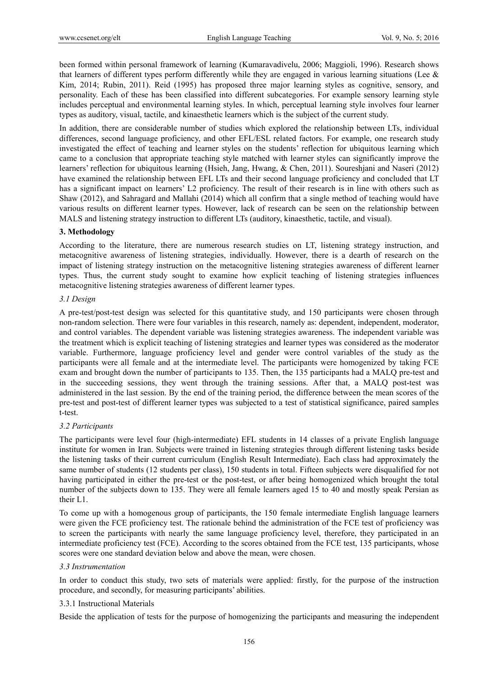been formed within personal framework of learning (Kumaravadivelu, 2006; Maggioli, 1996). Research shows that learners of different types perform differently while they are engaged in various learning situations (Lee  $\&$ Kim, 2014; Rubin, 2011). Reid (1995) has proposed three major learning styles as cognitive, sensory, and personality. Each of these has been classified into different subcategories. For example sensory learning style includes perceptual and environmental learning styles. In which, perceptual learning style involves four learner types as auditory, visual, tactile, and kinaesthetic learners which is the subject of the current study.

In addition, there are considerable number of studies which explored the relationship between LTs, individual differences, second language proficiency, and other EFL/ESL related factors. For example, one research study investigated the effect of teaching and learner styles on the students' reflection for ubiquitous learning which came to a conclusion that appropriate teaching style matched with learner styles can significantly improve the learners' reflection for ubiquitous learning (Hsieh, Jang, Hwang, & Chen, 2011). Soureshjani and Naseri (2012) have examined the relationship between EFL LTs and their second language proficiency and concluded that LT has a significant impact on learners' L2 proficiency. The result of their research is in line with others such as Shaw (2012), and Sahragard and Mallahi (2014) which all confirm that a single method of teaching would have various results on different learner types. However, lack of research can be seen on the relationship between MALS and listening strategy instruction to different LTs (auditory, kinaesthetic, tactile, and visual).

# **3. Methodology**

According to the literature, there are numerous research studies on LT, listening strategy instruction, and metacognitive awareness of listening strategies, individually. However, there is a dearth of research on the impact of listening strategy instruction on the metacognitive listening strategies awareness of different learner types. Thus, the current study sought to examine how explicit teaching of listening strategies influences metacognitive listening strategies awareness of different learner types.

#### *3.1 Design*

A pre-test/post-test design was selected for this quantitative study, and 150 participants were chosen through non-random selection. There were four variables in this research, namely as: dependent, independent, moderator, and control variables. The dependent variable was listening strategies awareness. The independent variable was the treatment which is explicit teaching of listening strategies and learner types was considered as the moderator variable. Furthermore, language proficiency level and gender were control variables of the study as the participants were all female and at the intermediate level. The participants were homogenized by taking FCE exam and brought down the number of participants to 135. Then, the 135 participants had a MALQ pre-test and in the succeeding sessions, they went through the training sessions. After that, a MALQ post-test was administered in the last session. By the end of the training period, the difference between the mean scores of the pre-test and post-test of different learner types was subjected to a test of statistical significance, paired samples t-test.

#### *3.2 Participants*

The participants were level four (high-intermediate) EFL students in 14 classes of a private English language institute for women in Iran. Subjects were trained in listening strategies through different listening tasks beside the listening tasks of their current curriculum (English Result Intermediate). Each class had approximately the same number of students (12 students per class), 150 students in total. Fifteen subjects were disqualified for not having participated in either the pre-test or the post-test, or after being homogenized which brought the total number of the subjects down to 135. They were all female learners aged 15 to 40 and mostly speak Persian as their L1.

To come up with a homogenous group of participants, the 150 female intermediate English language learners were given the FCE proficiency test. The rationale behind the administration of the FCE test of proficiency was to screen the participants with nearly the same language proficiency level, therefore, they participated in an intermediate proficiency test (FCE). According to the scores obtained from the FCE test, 135 participants, whose scores were one standard deviation below and above the mean, were chosen.

#### *3.3 Instrumentation*

In order to conduct this study, two sets of materials were applied: firstly, for the purpose of the instruction procedure, and secondly, for measuring participants' abilities.

#### 3.3.1 Instructional Materials

Beside the application of tests for the purpose of homogenizing the participants and measuring the independent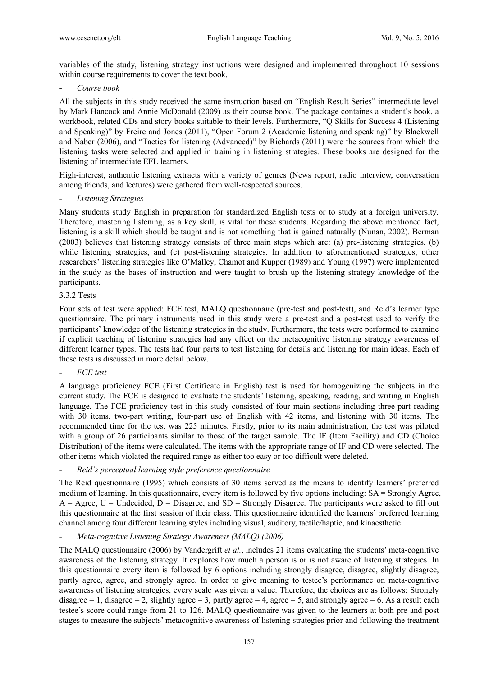variables of the study, listening strategy instructions were designed and implemented throughout 10 sessions within course requirements to cover the text book.

- *Course book* 

All the subjects in this study received the same instruction based on "English Result Series" intermediate level by Mark Hancock and Annie McDonald (2009) as their course book. The package containes a student's book, a workbook, related CDs and story books suitable to their levels. Furthermore, "Q Skills for Success 4 (Listening and Speaking)" by Freire and Jones (2011), "Open Forum 2 (Academic listening and speaking)" by Blackwell and Naber (2006), and "Tactics for listening (Advanced)" by Richards (2011) were the sources from which the listening tasks were selected and applied in training in listening strategies. These books are designed for the listening of intermediate EFL learners.

High-interest, authentic listening extracts with a variety of genres (News report, radio interview, conversation among friends, and lectures) were gathered from well-respected sources.

- *Listening Strategies* 

Many students study English in preparation for standardized English tests or to study at a foreign university. Therefore, mastering listening, as a key skill, is vital for these students. Regarding the above mentioned fact, listening is a skill which should be taught and is not something that is gained naturally (Nunan, 2002). Berman (2003) believes that listening strategy consists of three main steps which are: (a) pre-listening strategies, (b) while listening strategies, and (c) post-listening strategies. In addition to aforementioned strategies, other researchers' listening strategies like O'Malley, Chamot and Kupper (1989) and Young (1997) were implemented in the study as the bases of instruction and were taught to brush up the listening strategy knowledge of the participants.

#### 3.3.2 Tests

Four sets of test were applied: FCE test, MALQ questionnaire (pre-test and post-test), and Reid's learner type questionnaire. The primary instruments used in this study were a pre-test and a post-test used to verify the participants' knowledge of the listening strategies in the study. Furthermore, the tests were performed to examine if explicit teaching of listening strategies had any effect on the metacognitive listening strategy awareness of different learner types. The tests had four parts to test listening for details and listening for main ideas. Each of these tests is discussed in more detail below.

#### - *FCE test*

A language proficiency FCE (First Certificate in English) test is used for homogenizing the subjects in the current study. The FCE is designed to evaluate the students' listening, speaking, reading, and writing in English language. The FCE proficiency test in this study consisted of four main sections including three-part reading with 30 items, two-part writing, four-part use of English with 42 items, and listening with 30 items. The recommended time for the test was 225 minutes. Firstly, prior to its main administration, the test was piloted with a group of 26 participants similar to those of the target sample. The IF (Item Facility) and CD (Choice Distribution) of the items were calculated. The items with the appropriate range of IF and CD were selected. The other items which violated the required range as either too easy or too difficult were deleted.

# - *Reid's perceptual learning style preference questionnaire*

The Reid questionnaire (1995) which consists of 30 items served as the means to identify learners' preferred medium of learning. In this questionnaire, every item is followed by five options including: SA = Strongly Agree,  $A = \text{Agree}, U = \text{Undecided}, D = \text{Disagree}, \text{and } SD = \text{Strongly Disagree}.$  The participants were asked to fill out this questionnaire at the first session of their class. This questionnaire identified the learners' preferred learning channel among four different learning styles including visual, auditory, tactile/haptic, and kinaesthetic.

- *Meta-cognitive Listening Strategy Awareness (MALQ) (2006)* 

The MALQ questionnaire (2006) by Vandergrift *et al.*, includes 21 items evaluating the students' meta-cognitive awareness of the listening strategy. It explores how much a person is or is not aware of listening strategies. In this questionnaire every item is followed by 6 options including strongly disagree, disagree, slightly disagree, partly agree, agree, and strongly agree. In order to give meaning to testee's performance on meta-cognitive awareness of listening strategies, every scale was given a value. Therefore, the choices are as follows: Strongly disagree  $= 1$ , disagree  $= 2$ , slightly agree  $= 3$ , partly agree  $= 4$ , agree  $= 5$ , and strongly agree  $= 6$ . As a result each testee's score could range from 21 to 126. MALQ questionnaire was given to the learners at both pre and post stages to measure the subjects' metacognitive awareness of listening strategies prior and following the treatment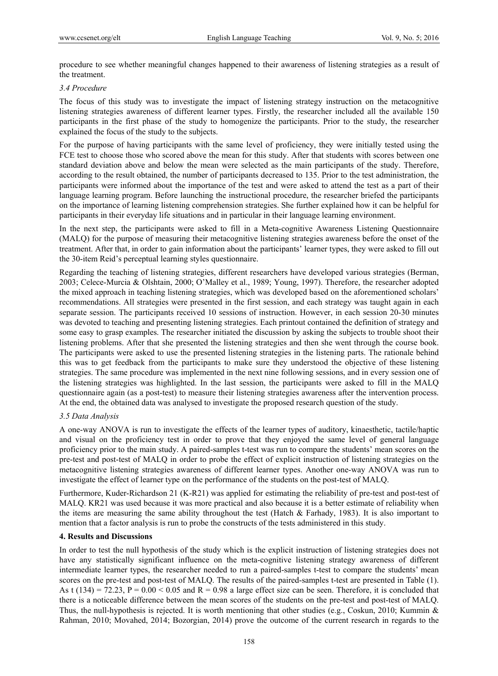procedure to see whether meaningful changes happened to their awareness of listening strategies as a result of the treatment.

#### *3.4 Procedure*

The focus of this study was to investigate the impact of listening strategy instruction on the metacognitive listening strategies awareness of different learner types. Firstly, the researcher included all the available 150 participants in the first phase of the study to homogenize the participants. Prior to the study, the researcher explained the focus of the study to the subjects.

For the purpose of having participants with the same level of proficiency, they were initially tested using the FCE test to choose those who scored above the mean for this study. After that students with scores between one standard deviation above and below the mean were selected as the main participants of the study. Therefore, according to the result obtained, the number of participants decreased to 135. Prior to the test administration, the participants were informed about the importance of the test and were asked to attend the test as a part of their language learning program. Before launching the instructional procedure, the researcher briefed the participants on the importance of learning listening comprehension strategies. She further explained how it can be helpful for participants in their everyday life situations and in particular in their language learning environment.

In the next step, the participants were asked to fill in a Meta-cognitive Awareness Listening Questionnaire (MALQ) for the purpose of measuring their metacognitive listening strategies awareness before the onset of the treatment. After that, in order to gain information about the participants' learner types, they were asked to fill out the 30-item Reid's perceptual learning styles questionnaire.

Regarding the teaching of listening strategies, different researchers have developed various strategies (Berman, 2003; Celece-Murcia & Olshtain, 2000; O'Malley et al., 1989; Young, 1997). Therefore, the researcher adopted the mixed approach in teaching listening strategies, which was developed based on the aforementioned scholars' recommendations. All strategies were presented in the first session, and each strategy was taught again in each separate session. The participants received 10 sessions of instruction. However, in each session 20-30 minutes was devoted to teaching and presenting listening strategies. Each printout contained the definition of strategy and some easy to grasp examples. The researcher initiated the discussion by asking the subjects to trouble shoot their listening problems. After that she presented the listening strategies and then she went through the course book. The participants were asked to use the presented listening strategies in the listening parts. The rationale behind this was to get feedback from the participants to make sure they understood the objective of these listening strategies. The same procedure was implemented in the next nine following sessions, and in every session one of the listening strategies was highlighted. In the last session, the participants were asked to fill in the MALQ questionnaire again (as a post-test) to measure their listening strategies awareness after the intervention process. At the end, the obtained data was analysed to investigate the proposed research question of the study.

# *3.5 Data Analysis*

A one-way ANOVA is run to investigate the effects of the learner types of auditory, kinaesthetic, tactile/haptic and visual on the proficiency test in order to prove that they enjoyed the same level of general language proficiency prior to the main study. A paired-samples t-test was run to compare the students' mean scores on the pre-test and post-test of MALQ in order to probe the effect of explicit instruction of listening strategies on the metacognitive listening strategies awareness of different learner types. Another one-way ANOVA was run to investigate the effect of learner type on the performance of the students on the post-test of MALQ.

Furthermore, Kuder-Richardson 21 (K-R21) was applied for estimating the reliability of pre-test and post-test of MALQ. KR21 was used because it was more practical and also because it is a better estimate of reliability when the items are measuring the same ability throughout the test (Hatch & Farhady, 1983). It is also important to mention that a factor analysis is run to probe the constructs of the tests administered in this study.

# **4. Results and Discussions**

In order to test the null hypothesis of the study which is the explicit instruction of listening strategies does not have any statistically significant influence on the meta-cognitive listening strategy awareness of different intermediate learner types, the researcher needed to run a paired-samples t-test to compare the students' mean scores on the pre-test and post-test of MALQ. The results of the paired-samples t-test are presented in Table (1). As t (134) = 72.23,  $P = 0.00 \le 0.05$  and  $R = 0.98$  a large effect size can be seen. Therefore, it is concluded that there is a noticeable difference between the mean scores of the students on the pre-test and post-test of MALQ. Thus, the null-hypothesis is rejected. It is worth mentioning that other studies (e.g., Coskun, 2010; Kummin & Rahman, 2010; Movahed, 2014; Bozorgian, 2014) prove the outcome of the current research in regards to the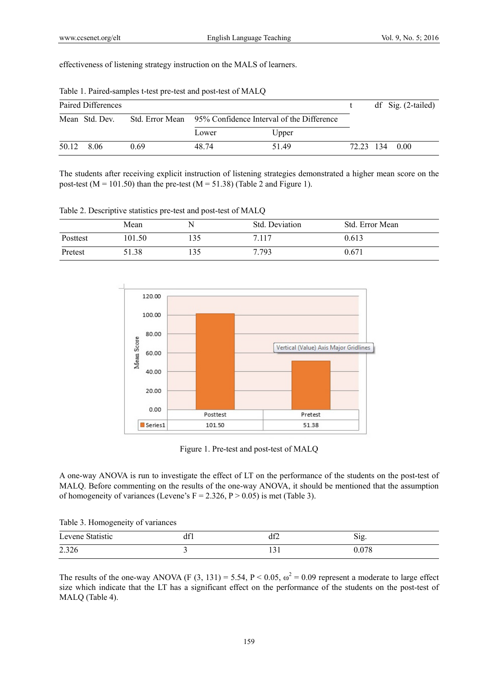effectiveness of listening strategy instruction on the MALS of learners.

|            | Paired Differences |      |                                                           |       |  | $df$ Sig. (2-tailed) |
|------------|--------------------|------|-----------------------------------------------------------|-------|--|----------------------|
|            | Mean Std. Dev.     |      | Std. Error Mean 95% Confidence Interval of the Difference |       |  |                      |
|            |                    |      | Lower                                                     | Upper |  |                      |
| 50.12 8.06 |                    | 0.69 | 48 74                                                     | 5149  |  | 72.23 134 0.00       |

Table 1. Paired-samples t-test pre-test and post-test of MALQ

The students after receiving explicit instruction of listening strategies demonstrated a higher mean score on the post-test ( $M = 101.50$ ) than the pre-test ( $M = 51.38$ ) (Table 2 and Figure 1).

Table 2. Descriptive statistics pre-test and post-test of MALQ

|          | Mean   | N   | Std. Deviation | Std. Error Mean |
|----------|--------|-----|----------------|-----------------|
| Posttest | 101.50 | 135 | 7.117          | 0.613           |
| Pretest  | 51.38  | 135 | 7.793          | 0.671           |



Figure 1. Pre-test and post-test of MALQ

A one-way ANOVA is run to investigate the effect of LT on the performance of the students on the post-test of MALQ. Before commenting on the results of the one-way ANOVA, it should be mentioned that the assumption of homogeneity of variances (Levene's  $F = 2.326$ ,  $P > 0.05$ ) is met (Table 3).

Table 3. Homogeneity of variances

| Levene Statistic | .   | лœ          | $\sim$ $\cdot$ |
|------------------|-----|-------------|----------------|
|                  | dil | u⊥∠         | Sig.           |
| 2.326            |     | $\sim$<br>. | 17C            |

The results of the one-way ANOVA (F (3, 131) = 5.54, P < 0.05,  $\omega^2$  = 0.09 represent a moderate to large effect size which indicate that the LT has a significant effect on the performance of the students on the post-test of MALQ (Table 4).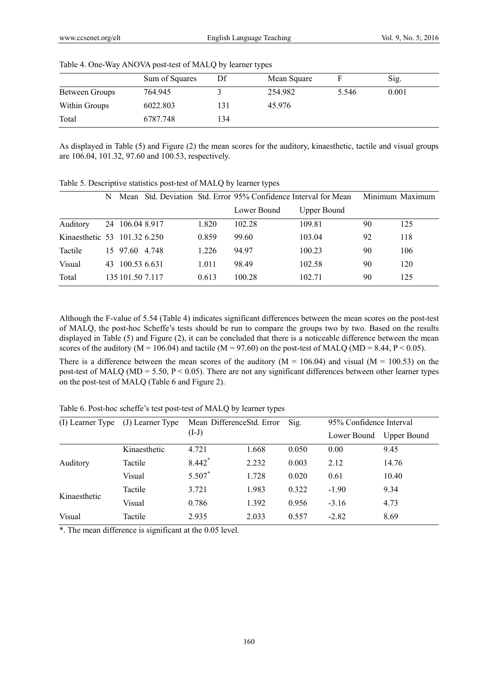|                       | Sum of Squares | Df  | Mean Square |       | Sig.  |  |
|-----------------------|----------------|-----|-------------|-------|-------|--|
| <b>Between Groups</b> | 764.945        |     | 254.982     | 5.546 | 0.001 |  |
| Within Groups         | 6022.803       | 131 | 45.976      |       |       |  |
| Total                 | 6787.748       | 134 |             |       |       |  |

#### Table 4. One-Way ANOVA post-test of MALQ by learner types

As displayed in Table (5) and Figure (2) the mean scores for the auditory, kinaesthetic, tactile and visual groups are 106.04, 101.32, 97.60 and 100.53, respectively.

|                              | N  | Mean             |       | Std. Deviation Std. Error 95% Confidence Interval for Mean |                    |    | Minimum Maximum |
|------------------------------|----|------------------|-------|------------------------------------------------------------|--------------------|----|-----------------|
|                              |    |                  |       | Lower Bound                                                | <b>Upper Bound</b> |    |                 |
| Auditory                     |    | 24 106.04 8.917  | 1.820 | 102.28                                                     | 109.81             | 90 | 125             |
| Kinaesthetic 53 101.32 6.250 |    |                  | 0.859 | 99.60                                                      | 103.04             | 92 | 118             |
| Tactile                      |    | 15 97.60 4.748   | 1.226 | 94.97                                                      | 100.23             | 90 | 106             |
| Visual                       | 43 | 100.53 6.631     | 1.011 | 98.49                                                      | 102.58             | 90 | 120             |
| Total                        |    | 135 101.50 7.117 | 0.613 | 100.28                                                     | 102.71             | 90 | 125             |

Table 5. Descriptive statistics post-test of MALQ by learner types

Although the F-value of 5.54 (Table 4) indicates significant differences between the mean scores on the post-test of MALQ, the post-hoc Scheffe's tests should be run to compare the groups two by two. Based on the results displayed in Table (5) and Figure (2), it can be concluded that there is a noticeable difference between the mean scores of the auditory ( $M = 106.04$ ) and tactile ( $M = 97.60$ ) on the post-test of MALQ ( $MD = 8.44$ ,  $P < 0.05$ ).

There is a difference between the mean scores of the auditory  $(M = 106.04)$  and visual  $(M = 100.53)$  on the post-test of MALQ (MD = 5.50,  $P < 0.05$ ). There are not any significant differences between other learner types on the post-test of MALQ (Table 6 and Figure 2).

Table 6. Post-hoc scheffe's test post-test of MALQ by learner types

| (I) Learner Type | (J) Learner Type | Mean DifferenceStd. Error<br>$(I-J)$ |       | Sig.  | 95% Confidence Interval |             |
|------------------|------------------|--------------------------------------|-------|-------|-------------------------|-------------|
|                  |                  |                                      |       |       | Lower Bound             | Upper Bound |
|                  | Kinaesthetic     | 4.721                                | 1.668 | 0.050 | 0.00                    | 9.45        |
| Auditory         | Tactile          | 8.442*                               | 2.232 | 0.003 | 2.12                    | 14.76       |
|                  | Visual           | 5.507*                               | 1.728 | 0.020 | 0.61                    | 10.40       |
| Kinaesthetic     | Tactile          | 3.721                                | 1.983 | 0.322 | $-1.90$                 | 9.34        |
|                  | Visual           | 0.786                                | 1.392 | 0.956 | $-3.16$                 | 4.73        |
| Visual           | Tactile          | 2.935                                | 2.033 | 0.557 | $-2.82$                 | 8.69        |

\*. The mean difference is significant at the 0.05 level.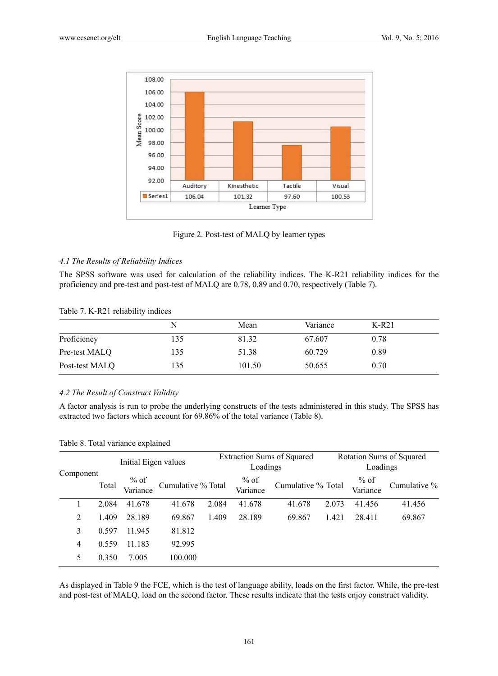

Figure 2. Post-test of MALQ by learner types

# *4.1 The Results of Reliability Indices*

The SPSS software was used for calculation of the reliability indices. The K-R21 reliability indices for the proficiency and pre-test and post-test of MALQ are 0.78, 0.89 and 0.70, respectively (Table 7).

# Table 7. K-R21 reliability indices

|                | N    | Mean   | Variance | $K-R21$ |  |
|----------------|------|--------|----------|---------|--|
| Proficiency    | 135  | 81.32  | 67.607   | 0.78    |  |
| Pre-test MALQ  | 135  | 51.38  | 60.729   | 0.89    |  |
| Post-test MALQ | l 35 | 101.50 | 50.655   | 0.70    |  |

# *4.2 The Result of Construct Validity*

A factor analysis is run to probe the underlying constructs of the tests administered in this study. The SPSS has extracted two factors which account for 69.86% of the total variance (Table 8).

|  | Table 8. Total variance explained |  |
|--|-----------------------------------|--|
|  |                                   |  |

|           |       | Initial Eigen values |                    |       | <b>Extraction Sums of Squared</b><br>Loadings |                    |       | Rotation Sums of Squared<br>Loadings |                 |  |
|-----------|-------|----------------------|--------------------|-------|-----------------------------------------------|--------------------|-------|--------------------------------------|-----------------|--|
| Component | Total | $%$ of<br>Variance   | Cumulative % Total |       | $%$ of<br>Variance                            | Cumulative % Total |       | $%$ of<br>Variance                   | Cumulative $\%$ |  |
|           | 2.084 | 41.678               | 41.678             | 2.084 | 41.678                                        | 41.678             | 2.073 | 41.456                               | 41.456          |  |
| 2         | 1.409 | 28.189               | 69.867             | 1.409 | 28.189                                        | 69.867             | 1.421 | 28.411                               | 69.867          |  |
| 3         | 0.597 | 11.945               | 81.812             |       |                                               |                    |       |                                      |                 |  |
| 4         | 0.559 | 11.183               | 92.995             |       |                                               |                    |       |                                      |                 |  |
|           | 0.350 | 7.005                | 100.000            |       |                                               |                    |       |                                      |                 |  |

As displayed in Table 9 the FCE, which is the test of language ability, loads on the first factor. While, the pre-test and post-test of MALQ, load on the second factor. These results indicate that the tests enjoy construct validity.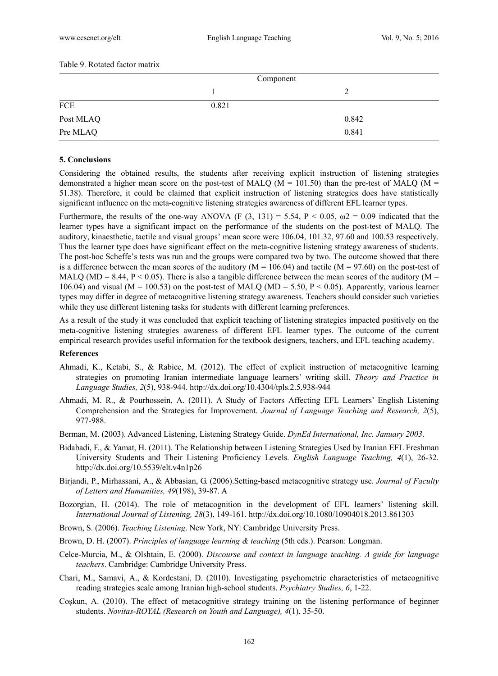|           | Component |       |  |
|-----------|-----------|-------|--|
|           |           | ↵     |  |
| ${FCE}$   | 0.821     |       |  |
| Post MLAQ |           | 0.842 |  |
| Pre MLAQ  |           | 0.841 |  |

# **5. Conclusions**

Considering the obtained results, the students after receiving explicit instruction of listening strategies demonstrated a higher mean score on the post-test of MALQ ( $M = 101.50$ ) than the pre-test of MALQ ( $M =$ 51.38). Therefore, it could be claimed that explicit instruction of listening strategies does have statistically significant influence on the meta-cognitive listening strategies awareness of different EFL learner types.

Furthermore, the results of the one-way ANOVA (F  $(3, 131) = 5.54$ , P < 0.05,  $\omega$  = 0.09 indicated that the learner types have a significant impact on the performance of the students on the post-test of MALQ. The auditory, kinaesthetic, tactile and visual groups' mean score were 106.04, 101.32, 97.60 and 100.53 respectively. Thus the learner type does have significant effect on the meta-cognitive listening strategy awareness of students. The post-hoc Scheffe's tests was run and the groups were compared two by two. The outcome showed that there is a difference between the mean scores of the auditory ( $M = 106.04$ ) and tactile ( $M = 97.60$ ) on the post-test of MALQ (MD = 8.44, P < 0.05). There is also a tangible difference between the mean scores of the auditory (M = 106.04) and visual (M = 100.53) on the post-test of MALQ (MD = 5.50, P < 0.05). Apparently, various learner types may differ in degree of metacognitive listening strategy awareness. Teachers should consider such varieties while they use different listening tasks for students with different learning preferences.

As a result of the study it was concluded that explicit teaching of listening strategies impacted positively on the meta-cognitive listening strategies awareness of different EFL learner types. The outcome of the current empirical research provides useful information for the textbook designers, teachers, and EFL teaching academy.

# **References**

- Ahmadi, K., Ketabi, S., & Rabiee, M. (2012). The effect of explicit instruction of metacognitive learning strategies on promoting Iranian intermediate language learners' writing skill. *Theory and Practice in Language Studies, 2*(5), 938-944. http://dx.doi.org/10.4304/tpls.2.5.938-944
- Ahmadi, M. R., & Pourhossein, A. (2011). A Study of Factors Affecting EFL Learners' English Listening Comprehension and the Strategies for Improvement. *Journal of Language Teaching and Research, 2*(5), 977-988.
- Berman, M. (2003). Advanced Listening, Listening Strategy Guide. *DynEd International, Inc. January 2003*.
- Bidabadi, F., & Yamat, H. (2011). The Relationship between Listening Strategies Used by Iranian EFL Freshman University Students and Their Listening Proficiency Levels. *English Language Teaching, 4*(1), 26-32. http://dx.doi.org/10.5539/elt.v4n1p26
- Birjandi, P., Mirhassani, A., & Abbasian, G. (2006).Setting-based metacognitive strategy use. *Journal of Faculty of Letters and Humanities, 49*(198), 39-87. A
- Bozorgian, H. (2014). The role of metacognition in the development of EFL learners' listening skill. *International Journal of Listening, 28*(3), 149-161. http://dx.doi.org/10.1080/10904018.2013.861303
- Brown, S. (2006). *Teaching Listening*. New York, NY: Cambridge University Press.
- Brown, D. H. (2007). *Principles of language learning & teaching* (5th eds.). Pearson: Longman.
- Celce-Murcia, M., & Olshtain, E. (2000). *Discourse and context in language teaching. A guide for language teachers*. Cambridge: Cambridge University Press.
- Chari, M., Samavi, A., & Kordestani, D. (2010). Investigating psychometric characteristics of metacognitive reading strategies scale among Iranian high-school students. *Psychiatry Studies, 6*, 1-22.
- Coşkun, A. (2010). The effect of metacognitive strategy training on the listening performance of beginner students. *Novitas-ROYAL (Research on Youth and Language), 4*(1), 35-50.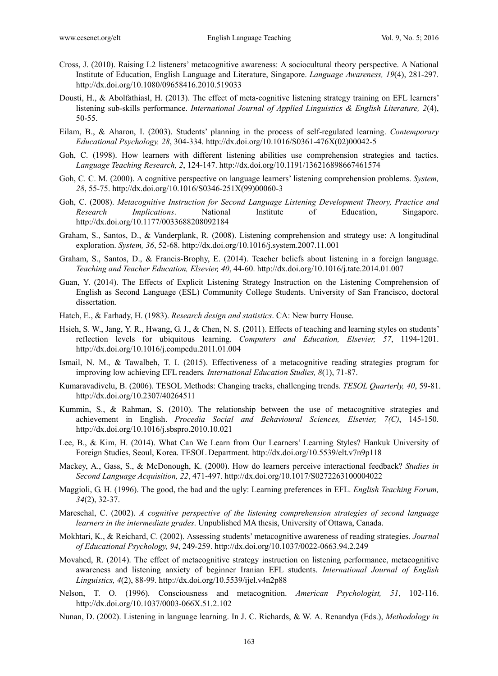- Cross, J. (2010). Raising L2 listeners' metacognitive awareness: A sociocultural theory perspective. A National Institute of Education, English Language and Literature, Singapore. *Language Awareness, 19*(4), 281-297. http://dx.doi.org/10.1080/09658416.2010.519033
- Dousti, H., & Abolfathiasl, H. (2013). The effect of meta-cognitive listening strategy training on EFL learners' listening sub-skills performance. *International Journal of Applied Linguistics & English Literature, 2*(4), 50-55.
- Eilam, B., & Aharon, I. (2003). Students' planning in the process of self-regulated learning. *Contemporary Educational Psychology, 28*, 304-334. http://dx.doi.org/10.1016/S0361-476X(02)00042-5
- Goh, C. (1998). How learners with different listening abilities use comprehension strategies and tactics. *Language Teaching Research, 2*, 124-147. http://dx.doi.org/10.1191/136216898667461574
- Goh, C. C. M. (2000). A cognitive perspective on language learners' listening comprehension problems. *System, 28*, 55-75. http://dx.doi.org/10.1016/S0346-251X(99)00060-3
- Goh, C. (2008). *Metacognitive Instruction for Second Language Listening Development Theory, Practice and Research Implications*. National Institute of Education, Singapore. http://dx.doi.org/10.1177/0033688208092184
- Graham, S., Santos, D., & Vanderplank, R. (2008). Listening comprehension and strategy use: A longitudinal exploration. *System, 36*, 52-68. http://dx.doi.org/10.1016/j.system.2007.11.001
- Graham, S., Santos, D., & Francis-Brophy, E. (2014). Teacher beliefs about listening in a foreign language. *Teaching and Teacher Education, Elsevier, 40*, 44-60. http://dx.doi.org/10.1016/j.tate.2014.01.007
- Guan, Y. (2014). The Effects of Explicit Listening Strategy Instruction on the Listening Comprehension of English as Second Language (ESL) Community College Students. University of San Francisco, doctoral dissertation.
- Hatch, E., & Farhady, H. (1983). *Research design and statistics*. CA: New burry House.
- Hsieh, S. W., Jang, Y. R., Hwang, G. J., & Chen, N. S. (2011). Effects of teaching and learning styles on students' reflection levels for ubiquitous learning. *Computers and Education, Elsevier, 57*, 1194-1201. http://dx.doi.org/10.1016/j.compedu.2011.01.004
- Ismail, N. M., & Tawalbeh, T. I. (2015). Effectiveness of a metacognitive reading strategies program for improving low achieving EFL readers*. International Education Studies, 8*(1), 71-87.
- Kumaravadivelu, B. (2006). TESOL Methods: Changing tracks, challenging trends. *TESOL Quarterly, 40*, 59-81. http://dx.doi.org/10.2307/40264511
- Kummin, S., & Rahman, S. (2010). The relationship between the use of metacognitive strategies and achievement in English. *Procedia Social and Behavioural Sciences, Elsevier, 7(C)*, 145-150. http://dx.doi.org/10.1016/j.sbspro.2010.10.021
- Lee, B., & Kim, H. (2014). What Can We Learn from Our Learners' Learning Styles? Hankuk University of Foreign Studies, Seoul, Korea. TESOL Department. http://dx.doi.org/10.5539/elt.v7n9p118
- Mackey, A., Gass, S., & McDonough, K. (2000). How do learners perceive interactional feedback? *Studies in Second Language Acquisition, 22*, 471-497. http://dx.doi.org/10.1017/S0272263100004022
- Maggioli, G. H. (1996). The good, the bad and the ugly: Learning preferences in EFL. *English Teaching Forum, 34*(2), 32-37.
- Mareschal, C. (2002). *A cognitive perspective of the listening comprehension strategies of second language learners in the intermediate grades*. Unpublished MA thesis, University of Ottawa, Canada.
- Mokhtari, K., & Reichard, C. (2002). Assessing students' metacognitive awareness of reading strategies. *Journal of Educational Psychology, 94*, 249-259. http://dx.doi.org/10.1037/0022-0663.94.2.249
- Movahed, R. (2014). The effect of metacognitive strategy instruction on listening performance, metacognitive awareness and listening anxiety of beginner Iranian EFL students. *International Journal of English Linguistics, 4*(2), 88-99. http://dx.doi.org/10.5539/ijel.v4n2p88
- Nelson, T. O. (1996). Consciousness and metacognition. *American Psychologist, 51*, 102-116. http://dx.doi.org/10.1037/0003-066X.51.2.102
- Nunan, D. (2002). Listening in language learning. In J. C. Richards, & W. A. Renandya (Eds.), *Methodology in*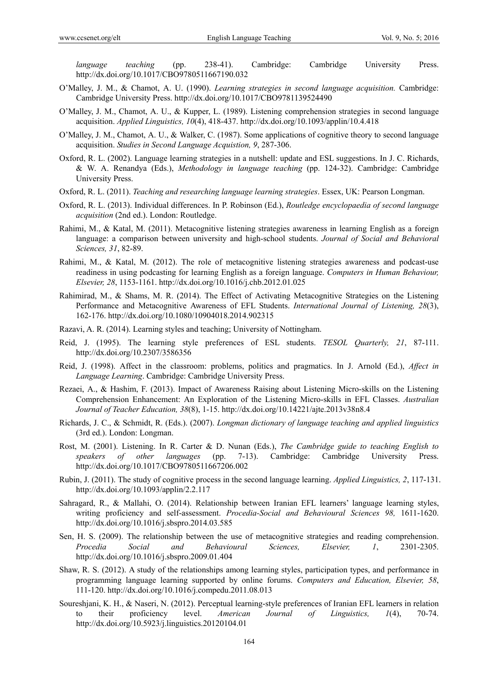*language teaching* (pp. 238-41). Cambridge: Cambridge University Press. http://dx.doi.org/10.1017/CBO9780511667190.032

- O'Malley, J. M., & Chamot, A. U. (1990). *Learning strategies in second language acquisition.* Cambridge: Cambridge University Press. http://dx.doi.org/10.1017/CBO9781139524490
- O'Malley, J. M., Chamot, A. U., & Kupper, L. (1989). Listening comprehension strategies in second language acquisition. *Applied Linguistics, 10*(4), 418-437. http://dx.doi.org/10.1093/applin/10.4.418
- O'Malley, J. M., Chamot, A. U., & Walker, C. (1987). Some applications of cognitive theory to second language acquisition. *Studies in Second Language Acquistion, 9*, 287-306.
- Oxford, R. L. (2002). Language learning strategies in a nutshell: update and ESL suggestions. In J. C. Richards, & W. A. Renandya (Eds.), *Methodology in language teaching* (pp. 124-32). Cambridge: Cambridge University Press.
- Oxford, R. L. (2011). *Teaching and researching language learning strategies*. Essex, UK: Pearson Longman.
- Oxford, R. L. (2013). Individual differences. In P. Robinson (Ed.), *Routledge encyclopaedia of second language acquisition* (2nd ed.). London: Routledge.
- Rahimi, M., & Katal, M. (2011). Metacognitive listening strategies awareness in learning English as a foreign language: a comparison between university and high-school students. *Journal of Social and Behavioral Sciences, 31*, 82-89.
- Rahimi, M., & Katal, M. (2012). The role of metacognitive listening strategies awareness and podcast-use readiness in using podcasting for learning English as a foreign language. *Computers in Human Behaviour, Elsevier, 28*, 1153-1161. http://dx.doi.org/10.1016/j.chb.2012.01.025
- Rahimirad, M., & Shams, M. R. (2014). The Effect of Activating Metacognitive Strategies on the Listening Performance and Metacognitive Awareness of EFL Students. *International Journal of Listening, 28*(3), 162-176. http://dx.doi.org/10.1080/10904018.2014.902315
- Razavi, A. R. (2014). Learning styles and teaching; University of Nottingham.
- Reid, J. (1995). The learning style preferences of ESL students. *TESOL Quarterly, 21*, 87-111. http://dx.doi.org/10.2307/3586356
- Reid, J. (1998). Affect in the classroom: problems, politics and pragmatics. In J. Arnold (Ed.), *Affect in Language Learning*. Cambridge: Cambridge University Press.
- Rezaei, A., & Hashim, F. (2013). Impact of Awareness Raising about Listening Micro-skills on the Listening Comprehension Enhancement: An Exploration of the Listening Micro-skills in EFL Classes. *Australian Journal of Teacher Education, 38*(8), 1-15. http://dx.doi.org/10.14221/ajte.2013v38n8.4
- Richards, J. C., & Schmidt, R. (Eds.). (2007). *Longman dictionary of language teaching and applied linguistics*  (3rd ed.). London: Longman.
- Rost, M. (2001). Listening. In R. Carter & D. Nunan (Eds.), *The Cambridge guide to teaching English to speakers of other languages* (pp. 7-13). Cambridge: Cambridge University Press. http://dx.doi.org/10.1017/CBO9780511667206.002
- Rubin, J. (2011). The study of cognitive process in the second language learning. *Applied Linguistics, 2*, 117-131. http://dx.doi.org/10.1093/applin/2.2.117
- Sahragard, R., & Mallahi, O. (2014). Relationship between Iranian EFL learners' language learning styles, writing proficiency and self-assessment. *Procedia-Social and Behavioural Sciences 98,* 1611-1620. http://dx.doi.org/10.1016/j.sbspro.2014.03.585
- Sen, H. S. (2009). The relationship between the use of metacognitive strategies and reading comprehension. *Procedia Social and Behavioural Sciences, Elsevier, 1*, 2301-2305. http://dx.doi.org/10.1016/j.sbspro.2009.01.404
- Shaw, R. S. (2012). A study of the relationships among learning styles, participation types, and performance in programming language learning supported by online forums. *Computers and Education, Elsevier, 58*, 111-120. http://dx.doi.org/10.1016/j.compedu.2011.08.013
- Soureshjani, K. H., & Naseri, N. (2012). Perceptual learning-style preferences of Iranian EFL learners in relation to their proficiency level. *American Journal of Linguistics, 1*(4), 70-74. http://dx.doi.org/10.5923/j.linguistics.20120104.01